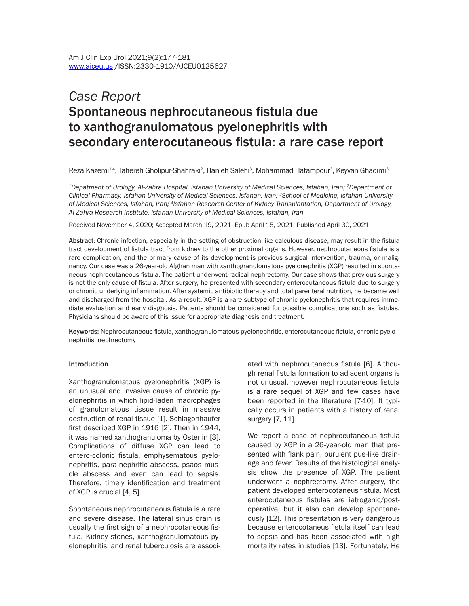# *Case Report* Spontaneous nephrocutaneous fistula due to xanthogranulomatous pyelonephritis with secondary enterocutaneous fistula: a rare case report

Reza Kazemi<sup>1.4</sup>, Tahereh Gholipur-Shahraki<sup>2</sup>, Hanieh Salehi<sup>3</sup>, Mohammad Hatampour<sup>3</sup>, Keyvan Ghadimi<sup>3</sup>

*1Depatment of Urology, Al-Zahra Hospital, Isfahan University of Medical Sciences, Isfahan, Iran; 2Department of Clinical Pharmacy, Isfahan University of Medical Sciences, Isfahan, Iran; 3School of Medicine, Isfahan University of Medical Sciences, Isfahan, Iran; 4Isfahan Research Center of Kidney Transplantation, Department of Urology, Al-Zahra Research Institute, Isfahan University of Medical Sciences, Isfahan, Iran*

Received November 4, 2020; Accepted March 19, 2021; Epub April 15, 2021; Published April 30, 2021

Abstract: Chronic infection, especially in the setting of obstruction like calculous disease, may result in the fistula tract development of fistula tract from kidney to the other proximal organs. However, nephrocutaneous fistula is a rare complication, and the primary cause of its development is previous surgical intervention, trauma, or malignancy. Our case was a 26-year-old Afghan man with xanthogranulomatous pyelonephritis (XGP) resulted in spontaneous nephrocutaneous fistula. The patient underwent radical nephrectomy. Our case shows that previous surgery is not the only cause of fistula. After surgery, he presented with secondary enterocutaneous fistula due to surgery or chronic underlying inflammation. After systemic antibiotic therapy and total parenteral nutrition, he became well and discharged from the hospital. As a result, XGP is a rare subtype of chronic pyelonephritis that requires immediate evaluation and early diagnosis. Patients should be considered for possible complications such as fistulas. Physicians should be aware of this issue for appropriate diagnosis and treatment.

Keywords: Nephrocutaneous fistula, xanthogranulomatous pyelonephritis, enterocutaneous fistula, chronic pyelonephritis, nephrectomy

#### **Introduction**

Xanthogranulomatous pyelonephritis (XGP) is an unusual and invasive cause of chronic pyelonephritis in which lipid-laden macrophages of granulomatous tissue result in massive destruction of renal tissue [1]. Schlagonhaufer first described XGP in 1916 [2]. Then in 1944, it was named xanthogranuloma by Osterlin [3]. Complications of diffuse XGP can lead to entero-colonic fistula, emphysematous pyelonephritis, para-nephritic abscess, psaos muscle abscess and even can lead to sepsis. Therefore, timely identification and treatment of XGP is crucial [4, 5].

Spontaneous nephrocutaneous fistula is a rare and severe disease. The lateral sinus drain is usually the first sign of a nephrocotaneous fistula. Kidney stones, xanthogranulomatous pyelonephritis, and renal tuberculosis are associated with nephrocutaneous fistula [6]. Although renal fistula formation to adjacent organs is not unusual, however nephrocutaneous fistula is a rare sequel of XGP and few cases have been reported in the literature [7-10]. It typically occurs in patients with a history of renal surgery [7, 11].

We report a case of nephrocutaneous fistula caused by XGP in a 26-year-old man that presented with flank pain, purulent pus-like drainage and fever. Results of the histological analysis show the presence of XGP. The patient underwent a nephrectomy. After surgery, the patient developed enterocotaneus fistula. Most enterocutaneous fistulas are iatrogenic/postoperative, but it also can develop spontaneously [12]. This presentation is very dangerous because enterocotaneus fistula itself can lead to sepsis and has been associated with high mortality rates in studies [13]. Fortunately, He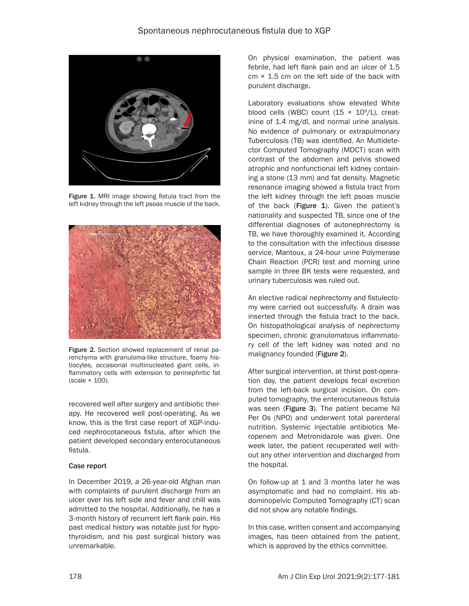

Figure 1. MRI image showing fistula tract from the left kidney through the left psoas muscle of the back.



Figure 2. Section showed replacement of renal parenchyma with granuloma-like structure, foamy histiocytes, occasional multinucleated giant cells, inflammatory cells with extension to perinephritic fat (scale × 100).

recovered well after surgery and antibiotic therapy. He recovered well post-operating. As we know, this is the first case report of XGP-induced nephrocotaneous fistula, after which the patient developed secondary enterocutaneous fistula.

# Case report

In December 2019, a 26-year-old Afghan man with complaints of purulent discharge from an ulcer over his left side and fever and chill was admitted to the hospital. Additionally, he has a 3-month history of recurrent left flank pain. His past medical history was notable just for hypothyroidism, and his past surgical history was unremarkable.

On physical examination, the patient was febrile, had left flank pain and an ulcer of 1.5 cm × 1.5 cm on the left side of the back with purulent discharge.

Laboratory evaluations show elevated White blood cells (WBC) count  $(15 \times 10^9/L)$ , creatinine of 1.4 mg/dl, and normal urine analysis. No evidence of pulmonary or extrapulmonary Tuberculosis (TB) was identified. An Multidetector Computed Tomography (MDCT) scan with contrast of the abdomen and pelvis showed atrophic and nonfunctional left kidney containing a stone (13 mm) and fat density. Magnetic resonance imaging showed a fistula tract from the left kidney through the left psoas muscle of the back (Figure  $1$ ). Given the patient's nationality and suspected TB, since one of the differential diagnoses of autonephrectomy is TB, we have thoroughly examined it. According to the consultation with the infectious disease service, Mantoux, a 24-hour urine Polymerase Chain Reaction (PCR) test and morning urine sample in three BK tests were requested, and urinary tuberculosis was ruled out.

An elective radical nephrectomy and fistulectomy were carried out successfully. A drain was inserted through the fistula tract to the back. On histopathological analysis of nephrectomy specimen, chronic granulomatous inflammatory cell of the left kidney was noted and no malignancy founded (Figure 2).

After surgical intervention, at thirst post-operation day, the patient develops fecal excretion from the left-back surgical incision. On computed tomography, the enterocutaneous fistula was seen (Figure 3). The patient became Nil Per Os (NPO) and underwent total parenteral nutrition. Systemic injectable antibiotics Meropenem and Metronidazole was given. One week later, the patient recuperated well without any other intervention and discharged from the hospital.

On follow-up at 1 and 3 months later he was asymptomatic and had no complaint. His abdominopelvic Computed Tomography (CT) scan did not show any notable findings.

In this case, written consent and accompanying images, has been obtained from the patient, which is approved by the ethics committee.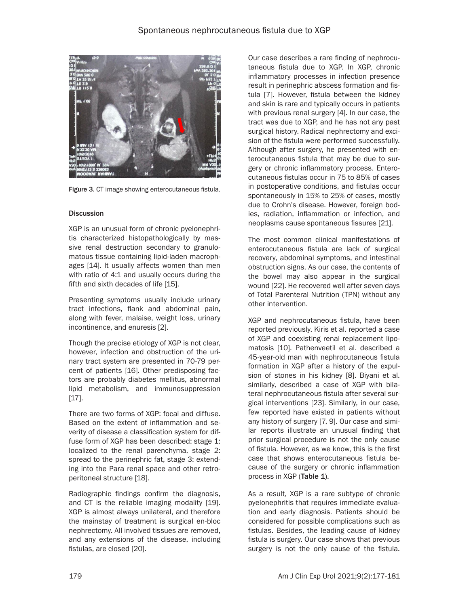

Figure 3. CT image showing enterocutaneous fistula.

#### **Discussion**

XGP is an unusual form of chronic pyelonephritis characterized histopathologically by massive renal destruction secondary to granulomatous tissue containing lipid-laden macrophages [14]. It usually affects women than men with ratio of 4:1 and usually occurs during the fifth and sixth decades of life [15].

Presenting symptoms usually include urinary tract infections, flank and abdominal pain, along with fever, malaise, weight loss, urinary incontinence, and enuresis [2].

Though the precise etiology of XGP is not clear, however, infection and obstruction of the urinary tract system are presented in 70-79 percent of patients [16]. Other predisposing factors are probably diabetes mellitus, abnormal lipid metabolism, and immunosuppression [17].

There are two forms of XGP: focal and diffuse. Based on the extent of inflammation and severity of disease a classification system for diffuse form of XGP has been described: stage 1: localized to the renal parenchyma, stage 2: spread to the perinephric fat, stage 3: extending into the Para renal space and other retroperitoneal structure [18].

Radiographic findings confirm the diagnosis, and CT is the reliable imaging modality [19]. XGP is almost always unilateral, and therefore the mainstay of treatment is surgical en-bloc nephrectomy. All involved tissues are removed, and any extensions of the disease, including fistulas, are closed [20].

Our case describes a rare finding of nephrocutaneous fistula due to XGP. In XGP, chronic inflammatory processes in infection presence result in perinephric abscess formation and fistula [7]. However, fistula between the kidney and skin is rare and typically occurs in patients with previous renal surgery [4]. In our case, the tract was due to XGP, and he has not any past surgical history. Radical nephrectomy and excision of the fistula were performed successfully. Although after surgery, he presented with enterocutaneous fistula that may be due to surgery or chronic inflammatory process. Enterocutaneous fistulas occur in 75 to 85% of cases in postoperative conditions, and fistulas occur spontaneously in 15% to 25% of cases, mostly due to Crohn's disease. However, foreign bodies, radiation, inflammation or infection, and neoplasms cause spontaneous fissures [21].

The most common clinical manifestations of enterocutaneous fistula are lack of surgical recovery, abdominal symptoms, and intestinal obstruction signs. As our case, the contents of the bowel may also appear in the surgical wound [22]. He recovered well after seven days of Total Parenteral Nutrition (TPN) without any other intervention.

XGP and nephrocutaneous fistula, have been reported previously. Kiris et al. reported a case of XGP and coexisting renal replacement lipomatosis [10]. Pathenveetil et al. described a 45-year-old man with nephrocutaneous fistula formation in XGP after a history of the expulsion of stones in his kidney [8]. Biyani et al. similarly, described a case of XGP with bilateral nephrocutaneous fistula after several surgical interventions [23]. Similarly, in our case, few reported have existed in patients without any history of surgery [7, 9]. Our case and similar reports illustrate an unusual finding that prior surgical procedure is not the only cause of fistula. However, as we know, this is the first case that shows enterocutaneous fistula because of the surgery or chronic inflammation process in XGP (Table 1).

As a result, XGP is a rare subtype of chronic pyelonephritis that requires immediate evaluation and early diagnosis. Patients should be considered for possible complications such as fistulas. Besides, the leading cause of kidney fistula is surgery. Our case shows that previous surgery is not the only cause of the fistula.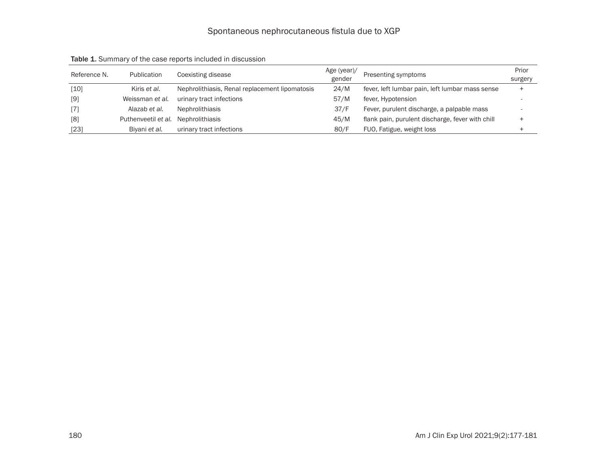| Reference N. | Publication         | Coexisting disease                             | Age (year)/<br>gender | Presenting symptoms                              | Prior<br>surgery |
|--------------|---------------------|------------------------------------------------|-----------------------|--------------------------------------------------|------------------|
| [10]         | Kiris et al.        | Nephrolithiasis, Renal replacement lipomatosis | 24/M                  | fever, left lumbar pain, left lumbar mass sense  |                  |
| [9]          | Weissman et al.     | urinary tract infections                       | 57/M                  | fever, Hypotension                               |                  |
| $[7]$        | Alazab et al.       | <b>Nephrolithiasis</b>                         | 37/F                  | Fever, purulent discharge, a palpable mass       |                  |
| [8]          | Puthenveetil et al. | <b>Nephrolithiasis</b>                         | 45/M                  | flank pain, purulent discharge, fever with chill |                  |
| $[23]$       | Biyani et al.       | urinary tract infections                       | 80/F                  | FUO, Fatigue, weight loss                        |                  |

Table 1. Summary of the case reports included in discussion